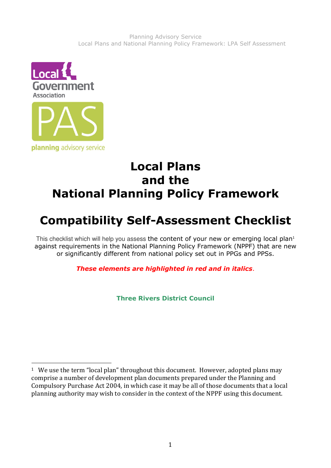

#### Local Plans and the National Planning Policy Framework

# Compatibility Self-Assessment Checklist

This checklist which will help you assess the content of your new or emerging local plan<sup>1</sup> against requirements in the National Planning Policy Framework (NPPF) that are new or significantly different from national policy set out in PPGs and PPSs.

These elements are highlighted in red and in italics.

Three Rivers District Council

 $\overline{a}$ <sup>1</sup> We use the term "local plan" throughout this document. However, adopted plans may comprise a number of development plan documents prepared under the Planning and Compulsory Purchase Act 2004, in which case it may be all of those documents that a local planning authority may wish to consider in the context of the NPPF using this document.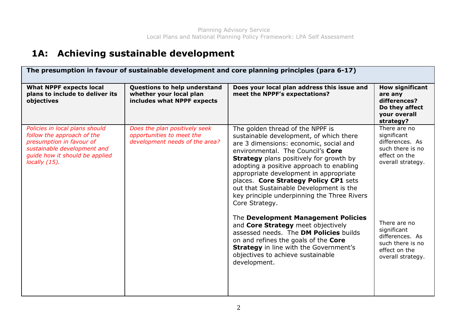#### 1A: Achieving sustainable development

| The presumption in favour of sustainable development and core planning principles (para 6-17)                                                                                 |                                                                                              |                                                                                                                                                                                                                                                                                                                                                                                                                                                         |                                                                                                          |
|-------------------------------------------------------------------------------------------------------------------------------------------------------------------------------|----------------------------------------------------------------------------------------------|---------------------------------------------------------------------------------------------------------------------------------------------------------------------------------------------------------------------------------------------------------------------------------------------------------------------------------------------------------------------------------------------------------------------------------------------------------|----------------------------------------------------------------------------------------------------------|
| <b>What NPPF expects local</b><br>plans to include to deliver its<br>objectives                                                                                               | Questions to help understand<br>whether your local plan<br>includes what NPPF expects        | Does your local plan address this issue and<br>meet the NPPF's expectations?                                                                                                                                                                                                                                                                                                                                                                            | <b>How significant</b><br>are any<br>differences?<br>Do they affect<br>your overall<br>strategy?         |
| Policies in local plans should<br>follow the approach of the<br>presumption in favour of<br>sustainable development and<br>guide how it should be applied<br>locally $(15)$ . | Does the plan positively seek<br>opportunities to meet the<br>development needs of the area? | The golden thread of the NPPF is<br>sustainable development, of which there<br>are 3 dimensions: economic, social and<br>environmental. The Council's Core<br><b>Strategy</b> plans positively for growth by<br>adopting a positive approach to enabling<br>appropriate development in appropriate<br>places. Core Strategy Policy CP1 sets<br>out that Sustainable Development is the<br>key principle underpinning the Three Rivers<br>Core Strategy. | There are no<br>significant<br>differences. As<br>such there is no<br>effect on the<br>overall strategy. |
|                                                                                                                                                                               |                                                                                              | The Development Management Policies<br>and Core Strategy meet objectively<br>assessed needs. The DM Policies builds<br>on and refines the goals of the Core<br><b>Strategy</b> in line with the Government's<br>objectives to achieve sustainable<br>development.                                                                                                                                                                                       | There are no<br>significant<br>differences. As<br>such there is no<br>effect on the<br>overall strategy. |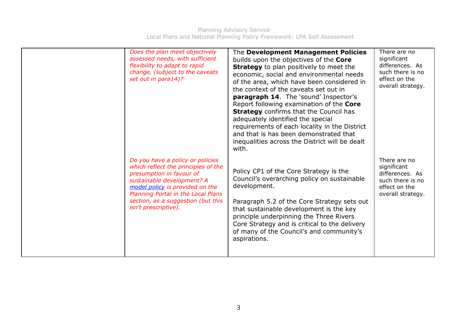| Does the plan meet objectively<br>assessed needs, with sufficient<br>flexibility to adapt to rapid<br>change, (subject to the caveats<br>set out in para14)?                                                                                                             | The Development Management Policies<br>builds upon the objectives of the Core<br><b>Strategy</b> to plan positively to meet the<br>economic, social and environmental needs<br>of the area, which have been considered in<br>the context of the caveats set out in<br>paragraph 14. The 'sound' Inspector's<br>Report following examination of the Core<br><b>Strategy</b> confirms that the Council has<br>adequately identified the special<br>requirements of each locality in the District<br>and that is has been demonstrated that<br>inequalities across the District will be dealt | There are no<br>significant<br>differences. As<br>such there is no<br>effect on the<br>overall strategy. |
|--------------------------------------------------------------------------------------------------------------------------------------------------------------------------------------------------------------------------------------------------------------------------|--------------------------------------------------------------------------------------------------------------------------------------------------------------------------------------------------------------------------------------------------------------------------------------------------------------------------------------------------------------------------------------------------------------------------------------------------------------------------------------------------------------------------------------------------------------------------------------------|----------------------------------------------------------------------------------------------------------|
| Do you have a policy or policies<br>which reflect the principles of the<br>presumption in favour of<br>sustainable development? A<br>model policy is provided on the<br>Planning Portal in the Local Plans<br>section, as a suggestion (but this<br>isn't prescriptive). | with.<br>Policy CP1 of the Core Strategy is the<br>Council's overarching policy on sustainable<br>development.<br>Paragraph 5.2 of the Core Strategy sets out<br>that sustainable development is the key<br>principle underpinning the Three Rivers<br>Core Strategy and is critical to the delivery<br>of many of the Council's and community's<br>aspirations.                                                                                                                                                                                                                           | There are no<br>significant<br>differences. As<br>such there is no<br>effect on the<br>overall strategy. |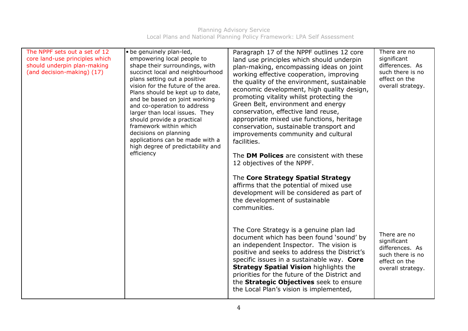| The NPPF sets out a set of 12<br>core land-use principles which<br>should underpin plan-making<br>(and decision-making) (17) | • be genuinely plan-led,<br>empowering local people to<br>shape their surroundings, with<br>succinct local and neighbourhood<br>plans setting out a positive<br>vision for the future of the area.<br>Plans should be kept up to date,<br>and be based on joint working<br>and co-operation to address<br>larger than local issues. They<br>should provide a practical<br>framework within which<br>decisions on planning<br>applications can be made with a<br>high degree of predictability and<br>efficiency | Paragraph 17 of the NPPF outlines 12 core<br>land use principles which should underpin<br>plan-making, encompassing ideas on joint<br>working effective cooperation, improving<br>the quality of the environment, sustainable<br>economic development, high quality design,<br>promoting vitality whilst protecting the<br>Green Belt, environment and energy<br>conservation, effective land reuse,<br>appropriate mixed use functions, heritage<br>conservation, sustainable transport and<br>improvements community and cultural<br>facilities.<br>The DM Polices are consistent with these<br>12 objectives of the NPPF. | There are no<br>significant<br>differences. As<br>such there is no<br>effect on the<br>overall strategy. |
|------------------------------------------------------------------------------------------------------------------------------|-----------------------------------------------------------------------------------------------------------------------------------------------------------------------------------------------------------------------------------------------------------------------------------------------------------------------------------------------------------------------------------------------------------------------------------------------------------------------------------------------------------------|------------------------------------------------------------------------------------------------------------------------------------------------------------------------------------------------------------------------------------------------------------------------------------------------------------------------------------------------------------------------------------------------------------------------------------------------------------------------------------------------------------------------------------------------------------------------------------------------------------------------------|----------------------------------------------------------------------------------------------------------|
|                                                                                                                              |                                                                                                                                                                                                                                                                                                                                                                                                                                                                                                                 | The Core Strategy Spatial Strategy<br>affirms that the potential of mixed use<br>development will be considered as part of<br>the development of sustainable<br>communities.                                                                                                                                                                                                                                                                                                                                                                                                                                                 |                                                                                                          |
|                                                                                                                              |                                                                                                                                                                                                                                                                                                                                                                                                                                                                                                                 | The Core Strategy is a genuine plan lad<br>document which has been found 'sound' by<br>an independent Inspector. The vision is<br>positive and seeks to address the District's<br>specific issues in a sustainable way. Core<br><b>Strategy Spatial Vision highlights the</b><br>priorities for the future of the District and<br>the Strategic Objectives seek to ensure<br>the Local Plan's vision is implemented,                                                                                                                                                                                                         | There are no<br>significant<br>differences. As<br>such there is no<br>effect on the<br>overall strategy. |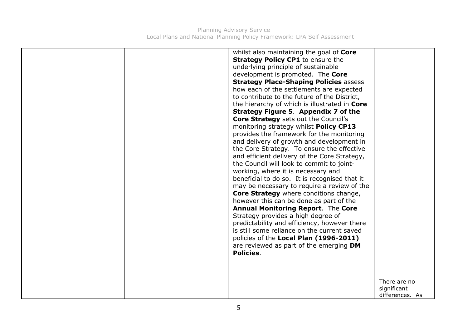|  | whilst also maintaining the goal of Core<br><b>Strategy Policy CP1</b> to ensure the<br>underlying principle of sustainable<br>development is promoted. The Core<br><b>Strategy Place-Shaping Policies assess</b><br>how each of the settlements are expected<br>to contribute to the future of the District,<br>the hierarchy of which is illustrated in Core<br>Strategy Figure 5. Appendix 7 of the<br><b>Core Strategy</b> sets out the Council's<br>monitoring strategy whilst Policy CP13<br>provides the framework for the monitoring<br>and delivery of growth and development in<br>the Core Strategy. To ensure the effective<br>and efficient delivery of the Core Strategy,<br>the Council will look to commit to joint-<br>working, where it is necessary and<br>beneficial to do so. It is recognised that it<br>may be necessary to require a review of the<br><b>Core Strategy</b> where conditions change,<br>however this can be done as part of the<br><b>Annual Monitoring Report. The Core</b><br>Strategy provides a high degree of<br>predictability and efficiency, however there<br>is still some reliance on the current saved<br>policies of the Local Plan (1996-2011)<br>are reviewed as part of the emerging DM<br>Policies. |                                |
|--|------------------------------------------------------------------------------------------------------------------------------------------------------------------------------------------------------------------------------------------------------------------------------------------------------------------------------------------------------------------------------------------------------------------------------------------------------------------------------------------------------------------------------------------------------------------------------------------------------------------------------------------------------------------------------------------------------------------------------------------------------------------------------------------------------------------------------------------------------------------------------------------------------------------------------------------------------------------------------------------------------------------------------------------------------------------------------------------------------------------------------------------------------------------------------------------------------------------------------------------------------------|--------------------------------|
|  |                                                                                                                                                                                                                                                                                                                                                                                                                                                                                                                                                                                                                                                                                                                                                                                                                                                                                                                                                                                                                                                                                                                                                                                                                                                            |                                |
|  |                                                                                                                                                                                                                                                                                                                                                                                                                                                                                                                                                                                                                                                                                                                                                                                                                                                                                                                                                                                                                                                                                                                                                                                                                                                            |                                |
|  |                                                                                                                                                                                                                                                                                                                                                                                                                                                                                                                                                                                                                                                                                                                                                                                                                                                                                                                                                                                                                                                                                                                                                                                                                                                            | There are no                   |
|  |                                                                                                                                                                                                                                                                                                                                                                                                                                                                                                                                                                                                                                                                                                                                                                                                                                                                                                                                                                                                                                                                                                                                                                                                                                                            | significant<br>differences. As |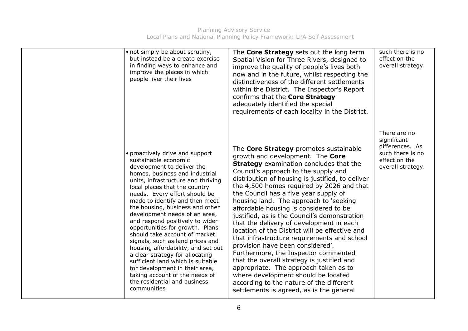| • not simply be about scrutiny,<br>but instead be a create exercise<br>in finding ways to enhance and<br>improve the places in which<br>people liver their lives                                                                                                                                                                                                                                                                                                                                                                                                                                                                                                                                                  | The Core Strategy sets out the long term<br>Spatial Vision for Three Rivers, designed to<br>improve the quality of people's lives both<br>now and in the future, whilst respecting the<br>distinctiveness of the different settlements<br>within the District. The Inspector's Report<br>confirms that the Core Strategy<br>adequately identified the special<br>requirements of each locality in the District.                                                                                                                                                                                                                                                                                                                                                                                                                                                                                   | such there is no<br>effect on the<br>overall strategy.                                                   |
|-------------------------------------------------------------------------------------------------------------------------------------------------------------------------------------------------------------------------------------------------------------------------------------------------------------------------------------------------------------------------------------------------------------------------------------------------------------------------------------------------------------------------------------------------------------------------------------------------------------------------------------------------------------------------------------------------------------------|---------------------------------------------------------------------------------------------------------------------------------------------------------------------------------------------------------------------------------------------------------------------------------------------------------------------------------------------------------------------------------------------------------------------------------------------------------------------------------------------------------------------------------------------------------------------------------------------------------------------------------------------------------------------------------------------------------------------------------------------------------------------------------------------------------------------------------------------------------------------------------------------------|----------------------------------------------------------------------------------------------------------|
| • proactively drive and support<br>sustainable economic<br>development to deliver the<br>homes, business and industrial<br>units, infrastructure and thriving<br>local places that the country<br>needs. Every effort should be<br>made to identify and then meet<br>the housing, business and other<br>development needs of an area,<br>and respond positively to wider<br>opportunities for growth. Plans<br>should take account of market<br>signals, such as land prices and<br>housing affordability, and set out<br>a clear strategy for allocating<br>sufficient land which is suitable<br>for development in their area,<br>taking account of the needs of<br>the residential and business<br>communities | The Core Strategy promotes sustainable<br>growth and development. The Core<br><b>Strategy</b> examination concludes that the<br>Council's approach to the supply and<br>distribution of housing is justified, to deliver<br>the 4,500 homes required by 2026 and that<br>the Council has a five year supply of<br>housing land. The approach to 'seeking<br>affordable housing is considered to be<br>justified, as is the Council's demonstration<br>that the delivery of development in each<br>location of the District will be effective and<br>that infrastructure requirements and school<br>provision have been considered'.<br>Furthermore, the Inspector commented<br>that the overall strategy is justified and<br>appropriate. The approach taken as to<br>where development should be located<br>according to the nature of the different<br>settlements is agreed, as is the general | There are no<br>significant<br>differences. As<br>such there is no<br>effect on the<br>overall strategy. |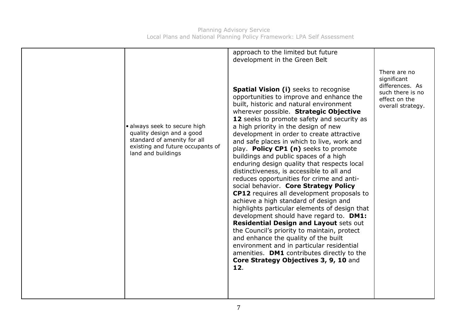| · always seek to secure high<br>quality design and a good | approach to the limited but future<br>development in the Green Belt<br><b>Spatial Vision (i)</b> seeks to recognise<br>opportunities to improve and enhance the<br>built, historic and natural environment<br>wherever possible. Strategic Objective<br>12 seeks to promote safety and security as<br>a high priority in the design of new<br>development in order to create attractive                                                                                                                                                                                                                                                                                                                                                       | There are no<br>significant<br>differences. As<br>such there is no<br>effect on the<br>overall strategy. |
|-----------------------------------------------------------|-----------------------------------------------------------------------------------------------------------------------------------------------------------------------------------------------------------------------------------------------------------------------------------------------------------------------------------------------------------------------------------------------------------------------------------------------------------------------------------------------------------------------------------------------------------------------------------------------------------------------------------------------------------------------------------------------------------------------------------------------|----------------------------------------------------------------------------------------------------------|
| land and buildings                                        | play. Policy CP1 (n) seeks to promote<br>buildings and public spaces of a high<br>enduring design quality that respects local<br>distinctiveness, is accessible to all and<br>reduces opportunities for crime and anti-<br>social behavior. Core Strategy Policy<br><b>CP12</b> requires all development proposals to<br>achieve a high standard of design and<br>highlights particular elements of design that<br>development should have regard to. DM1:<br><b>Residential Design and Layout sets out</b><br>the Council's priority to maintain, protect<br>and enhance the quality of the built<br>environment and in particular residential<br>amenities. DM1 contributes directly to the<br>Core Strategy Objectives 3, 9, 10 and<br>12. |                                                                                                          |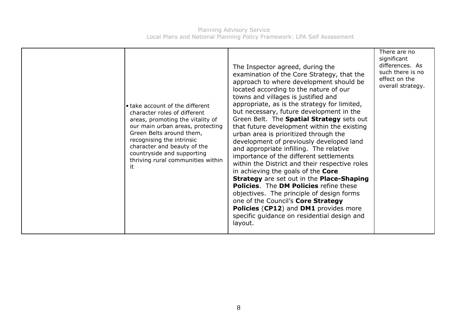Planning Advisory Service Local Plans and National Planning Policy Framework: LPA Self Assessment

| • take account of the different<br>character roles of different<br>areas, promoting the vitality of<br>our main urban areas, protecting<br>Green Belts around them,<br>recognising the intrinsic<br>character and beauty of the<br>countryside and supporting<br>thriving rural communities within<br>it | The Inspector agreed, during the<br>examination of the Core Strategy, that the<br>approach to where development should be<br>located according to the nature of our<br>towns and villages is justified and<br>appropriate, as is the strategy for limited,<br>but necessary, future development in the<br>Green Belt. The <b>Spatial Strategy</b> sets out<br>that future development within the existing<br>urban area is prioritized through the<br>development of previously developed land<br>and appropriate infilling. The relative<br>importance of the different settlements<br>within the District and their respective roles<br>in achieving the goals of the Core<br><b>Strategy</b> are set out in the <b>Place-Shaping</b><br><b>Policies.</b> The <b>DM Policies</b> refine these<br>objectives. The principle of design forms<br>one of the Council's Core Strategy<br>Policies (CP12) and DM1 provides more<br>specific guidance on residential design and<br>layout. | There are no<br>significant<br>differences. As<br>such there is no<br>effect on the<br>overall strategy. |
|----------------------------------------------------------------------------------------------------------------------------------------------------------------------------------------------------------------------------------------------------------------------------------------------------------|---------------------------------------------------------------------------------------------------------------------------------------------------------------------------------------------------------------------------------------------------------------------------------------------------------------------------------------------------------------------------------------------------------------------------------------------------------------------------------------------------------------------------------------------------------------------------------------------------------------------------------------------------------------------------------------------------------------------------------------------------------------------------------------------------------------------------------------------------------------------------------------------------------------------------------------------------------------------------------------|----------------------------------------------------------------------------------------------------------|
|----------------------------------------------------------------------------------------------------------------------------------------------------------------------------------------------------------------------------------------------------------------------------------------------------------|---------------------------------------------------------------------------------------------------------------------------------------------------------------------------------------------------------------------------------------------------------------------------------------------------------------------------------------------------------------------------------------------------------------------------------------------------------------------------------------------------------------------------------------------------------------------------------------------------------------------------------------------------------------------------------------------------------------------------------------------------------------------------------------------------------------------------------------------------------------------------------------------------------------------------------------------------------------------------------------|----------------------------------------------------------------------------------------------------------|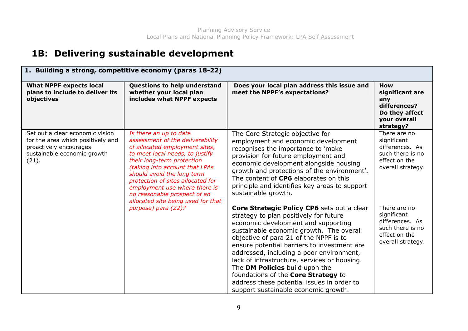#### 1B: Delivering sustainable development

| 1. Building a strong, competitive economy (paras 18-22)                                                                                |                                                                                                                                                                                                                                                                                                                                                                           |                                                                                                                                                                                                                                                                                                                                                                                                                                                                                                                             |                                                                                                          |
|----------------------------------------------------------------------------------------------------------------------------------------|---------------------------------------------------------------------------------------------------------------------------------------------------------------------------------------------------------------------------------------------------------------------------------------------------------------------------------------------------------------------------|-----------------------------------------------------------------------------------------------------------------------------------------------------------------------------------------------------------------------------------------------------------------------------------------------------------------------------------------------------------------------------------------------------------------------------------------------------------------------------------------------------------------------------|----------------------------------------------------------------------------------------------------------|
| <b>What NPPF expects local</b><br>plans to include to deliver its<br>objectives                                                        | Questions to help understand<br>whether your local plan<br>includes what NPPF expects                                                                                                                                                                                                                                                                                     | Does your local plan address this issue and<br>meet the NPPF's expectations?                                                                                                                                                                                                                                                                                                                                                                                                                                                | <b>How</b><br>significant are<br>any<br>differences?<br>Do they affect<br>your overall<br>strategy?      |
| Set out a clear economic vision<br>for the area which positively and<br>proactively encourages<br>sustainable economic growth<br>(21). | Is there an up to date<br>assessment of the deliverability<br>of allocated employment sites,<br>to meet local needs, to justify<br>their long-term protection<br>(taking into account that LPAs<br>should avoid the long term<br>protection of sites allocated for<br>employment use where there is<br>no reasonable prospect of an<br>allocated site being used for that | The Core Strategic objective for<br>employment and economic development<br>recognises the importance to 'make<br>provision for future employment and<br>economic development alongside housing<br>growth and protections of the environment'.<br>The content of CP6 elaborates on this<br>principle and identifies key areas to support<br>sustainable growth.                                                                                                                                                              | There are no<br>significant<br>differences. As<br>such there is no<br>effect on the<br>overall strategy. |
|                                                                                                                                        | purpose) para (22)?                                                                                                                                                                                                                                                                                                                                                       | Core Strategic Policy CP6 sets out a clear<br>strategy to plan positively for future<br>economic development and supporting<br>sustainable economic growth. The overall<br>objective of para 21 of the NPPF is to<br>ensure potential barriers to investment are<br>addressed, including a poor environment,<br>lack of infrastructure, services or housing.<br>The DM Policies build upon the<br>foundations of the Core Strategy to<br>address these potential issues in order to<br>support sustainable economic growth. | There are no<br>significant<br>differences. As<br>such there is no<br>effect on the<br>overall strategy. |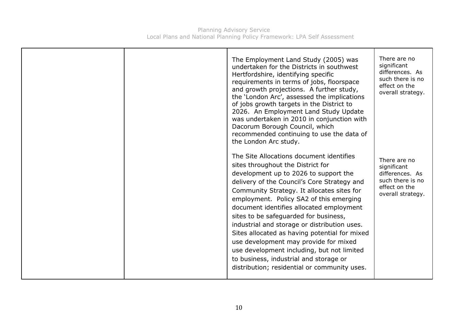| The Employment Land Study (2005) was<br>undertaken for the Districts in southwest<br>Hertfordshire, identifying specific<br>requirements in terms of jobs, floorspace<br>and growth projections. A further study,<br>the 'London Arc', assessed the implications<br>of jobs growth targets in the District to<br>2026. An Employment Land Study Update<br>was undertaken in 2010 in conjunction with<br>Dacorum Borough Council, which<br>recommended continuing to use the data of<br>the London Arc study.                                                                                                                          | There are no<br>significant<br>differences. As<br>such there is no<br>effect on the<br>overall strategy. |
|---------------------------------------------------------------------------------------------------------------------------------------------------------------------------------------------------------------------------------------------------------------------------------------------------------------------------------------------------------------------------------------------------------------------------------------------------------------------------------------------------------------------------------------------------------------------------------------------------------------------------------------|----------------------------------------------------------------------------------------------------------|
| The Site Allocations document identifies<br>sites throughout the District for<br>development up to 2026 to support the<br>delivery of the Council's Core Strategy and<br>Community Strategy. It allocates sites for<br>employment. Policy SA2 of this emerging<br>document identifies allocated employment<br>sites to be safeguarded for business,<br>industrial and storage or distribution uses.<br>Sites allocated as having potential for mixed<br>use development may provide for mixed<br>use development including, but not limited<br>to business, industrial and storage or<br>distribution; residential or community uses. | There are no<br>significant<br>differences. As<br>such there is no<br>effect on the<br>overall strategy. |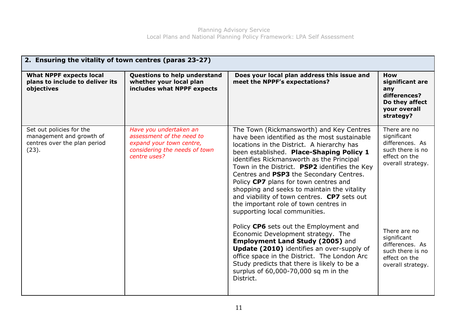| 2. Ensuring the vitality of town centres (paras 23-27)                                        |                                                                                                                                  |                                                                                                                                                                                                                                                                                                                                                                                                                                                                                                                                              |                                                                                                          |
|-----------------------------------------------------------------------------------------------|----------------------------------------------------------------------------------------------------------------------------------|----------------------------------------------------------------------------------------------------------------------------------------------------------------------------------------------------------------------------------------------------------------------------------------------------------------------------------------------------------------------------------------------------------------------------------------------------------------------------------------------------------------------------------------------|----------------------------------------------------------------------------------------------------------|
| <b>What NPPF expects local</b><br>plans to include to deliver its<br>objectives               | Questions to help understand<br>whether your local plan<br>includes what NPPF expects                                            | Does your local plan address this issue and<br>meet the NPPF's expectations?                                                                                                                                                                                                                                                                                                                                                                                                                                                                 | <b>How</b><br>significant are<br>any<br>differences?<br>Do they affect<br>your overall<br>strategy?      |
| Set out policies for the<br>management and growth of<br>centres over the plan period<br>(23). | Have you undertaken an<br>assessment of the need to<br>expand your town centre,<br>considering the needs of town<br>centre uses? | The Town (Rickmansworth) and Key Centres<br>have been identified as the most sustainable<br>locations in the District. A hierarchy has<br>been established. Place-Shaping Policy 1<br>identifies Rickmansworth as the Principal<br>Town in the District. PSP2 identifies the Key<br>Centres and PSP3 the Secondary Centres.<br>Policy CP7 plans for town centres and<br>shopping and seeks to maintain the vitality<br>and viability of town centres. CP7 sets out<br>the important role of town centres in<br>supporting local communities. | There are no<br>significant<br>differences. As<br>such there is no<br>effect on the<br>overall strategy. |
|                                                                                               |                                                                                                                                  | Policy CP6 sets out the Employment and<br>Economic Development strategy. The<br><b>Employment Land Study (2005)</b> and<br>Update (2010) identifies an over-supply of<br>office space in the District. The London Arc<br>Study predicts that there is likely to be a<br>surplus of 60,000-70,000 sq m in the<br>District.                                                                                                                                                                                                                    | There are no<br>significant<br>differences. As<br>such there is no<br>effect on the<br>overall strategy. |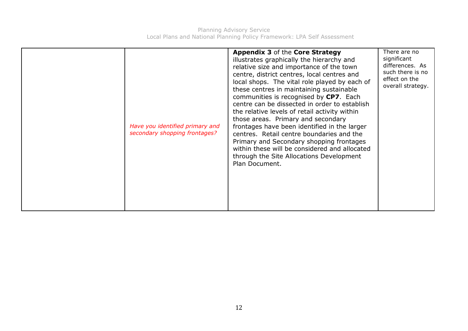|  | Have you identified primary and<br>secondary shopping frontages? | <b>Appendix 3 of the Core Strategy</b><br>illustrates graphically the hierarchy and<br>relative size and importance of the town<br>centre, district centres, local centres and<br>local shops. The vital role played by each of<br>these centres in maintaining sustainable<br>communities is recognised by CP7. Each<br>centre can be dissected in order to establish<br>the relative levels of retail activity within<br>those areas. Primary and secondary<br>frontages have been identified in the larger<br>centres. Retail centre boundaries and the<br>Primary and Secondary shopping frontages<br>within these will be considered and allocated<br>through the Site Allocations Development<br>Plan Document. | There are no<br>significant<br>differences. As<br>such there is no<br>effect on the<br>overall strategy. |
|--|------------------------------------------------------------------|-----------------------------------------------------------------------------------------------------------------------------------------------------------------------------------------------------------------------------------------------------------------------------------------------------------------------------------------------------------------------------------------------------------------------------------------------------------------------------------------------------------------------------------------------------------------------------------------------------------------------------------------------------------------------------------------------------------------------|----------------------------------------------------------------------------------------------------------|
|--|------------------------------------------------------------------|-----------------------------------------------------------------------------------------------------------------------------------------------------------------------------------------------------------------------------------------------------------------------------------------------------------------------------------------------------------------------------------------------------------------------------------------------------------------------------------------------------------------------------------------------------------------------------------------------------------------------------------------------------------------------------------------------------------------------|----------------------------------------------------------------------------------------------------------|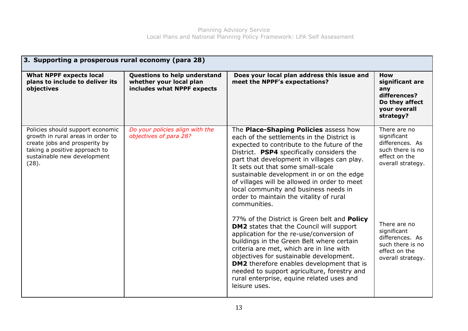| 3. Supporting a prosperous rural economy (para 28)                                                                                                                              |                                                                                       |                                                                                                                                                                                                                                                                                                                                                                                                                                                                      |                                                                                                          |
|---------------------------------------------------------------------------------------------------------------------------------------------------------------------------------|---------------------------------------------------------------------------------------|----------------------------------------------------------------------------------------------------------------------------------------------------------------------------------------------------------------------------------------------------------------------------------------------------------------------------------------------------------------------------------------------------------------------------------------------------------------------|----------------------------------------------------------------------------------------------------------|
| <b>What NPPF expects local</b><br>plans to include to deliver its<br>objectives                                                                                                 | Questions to help understand<br>whether your local plan<br>includes what NPPF expects | Does your local plan address this issue and<br>meet the NPPF's expectations?                                                                                                                                                                                                                                                                                                                                                                                         | <b>How</b><br>significant are<br>any<br>differences?<br>Do they affect<br>your overall<br>strategy?      |
| Policies should support economic<br>growth in rural areas in order to<br>create jobs and prosperity by<br>taking a positive approach to<br>sustainable new development<br>(28). | Do your policies align with the<br>objectives of para 28?                             | The Place-Shaping Policies assess how<br>each of the settlements in the District is<br>expected to contribute to the future of the<br>District. PSP4 specifically considers the<br>part that development in villages can play.<br>It sets out that some small-scale<br>sustainable development in or on the edge<br>of villages will be allowed in order to meet<br>local community and business needs in<br>order to maintain the vitality of rural<br>communities. | There are no<br>significant<br>differences. As<br>such there is no<br>effect on the<br>overall strategy. |
|                                                                                                                                                                                 |                                                                                       | 77% of the District is Green belt and <b>Policy</b><br><b>DM2</b> states that the Council will support<br>application for the re-use/conversion of<br>buildings in the Green Belt where certain<br>criteria are met, which are in line with<br>objectives for sustainable development.<br><b>DM2</b> therefore enables development that is<br>needed to support agriculture, forestry and<br>rural enterprise, equine related uses and<br>leisure uses.              | There are no<br>significant<br>differences. As<br>such there is no<br>effect on the<br>overall strategy. |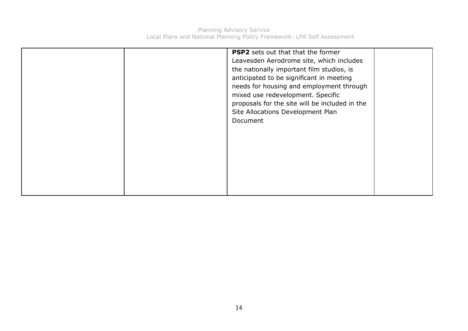|  | <b>PSP2</b> sets out that that the former<br>Leavesden Aerodrome site, which includes<br>the nationally important film studios, is<br>anticipated to be significant in meeting<br>needs for housing and employment through<br>mixed use redevelopment. Specific<br>proposals for the site will be included in the<br>Site Allocations Development Plan<br>Document |  |
|--|--------------------------------------------------------------------------------------------------------------------------------------------------------------------------------------------------------------------------------------------------------------------------------------------------------------------------------------------------------------------|--|
|  |                                                                                                                                                                                                                                                                                                                                                                    |  |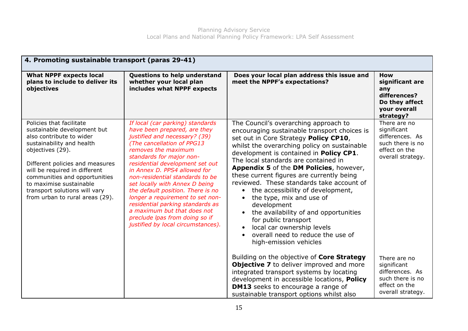| 4. Promoting sustainable transport (paras 29-41)                                                                                                                                                                                                                                                                                         |                                                                                                                                                                                                                                                                                                                                                                                                                                                                                                                                                |                                                                                                                                                                                                                                                                                                                                                                                                                                                                                                                                                                                                                                                                                                                 |                                                                                                          |  |
|------------------------------------------------------------------------------------------------------------------------------------------------------------------------------------------------------------------------------------------------------------------------------------------------------------------------------------------|------------------------------------------------------------------------------------------------------------------------------------------------------------------------------------------------------------------------------------------------------------------------------------------------------------------------------------------------------------------------------------------------------------------------------------------------------------------------------------------------------------------------------------------------|-----------------------------------------------------------------------------------------------------------------------------------------------------------------------------------------------------------------------------------------------------------------------------------------------------------------------------------------------------------------------------------------------------------------------------------------------------------------------------------------------------------------------------------------------------------------------------------------------------------------------------------------------------------------------------------------------------------------|----------------------------------------------------------------------------------------------------------|--|
| <b>What NPPF expects local</b><br>plans to include to deliver its<br>objectives                                                                                                                                                                                                                                                          | Questions to help understand<br>whether your local plan<br>includes what NPPF expects                                                                                                                                                                                                                                                                                                                                                                                                                                                          | Does your local plan address this issue and<br>meet the NPPF's expectations?                                                                                                                                                                                                                                                                                                                                                                                                                                                                                                                                                                                                                                    | How<br>significant are<br>any<br>differences?<br>Do they affect<br>your overall<br>strategy?             |  |
| Policies that facilitate<br>sustainable development but<br>also contribute to wider<br>sustainability and health<br>objectives (29).<br>Different policies and measures<br>will be required in different<br>communities and opportunities<br>to maximise sustainable<br>transport solutions will vary<br>from urban to rural areas (29). | If local (car parking) standards<br>have been prepared, are they<br>justified and necessary? (39)<br>(The cancellation of PPG13<br>removes the maximum<br>standards for major non-<br>residential development set out<br>in Annex D. PPS4 allowed for<br>non-residential standards to be<br>set locally with Annex D being<br>the default position. There is no<br>longer a requirement to set non-<br>residential parking standards as<br>a maximum but that does not<br>preclude Ipas from doing so if<br>justified by local circumstances). | The Council's overarching approach to<br>encouraging sustainable transport choices is<br>set out in Core Strategy Policy CP10,<br>whilst the overarching policy on sustainable<br>development is contained in Policy CP1.<br>The local standards are contained in<br><b>Appendix 5 of the DM Policies, however,</b><br>these current figures are currently being<br>reviewed. These standards take account of<br>the accessibility of development,<br>$\bullet$<br>the type, mix and use of<br>development<br>the availability of and opportunities<br>$\bullet$<br>for public transport<br>local car ownership levels<br>$\bullet$<br>overall need to reduce the use of<br>$\bullet$<br>high-emission vehicles | There are no<br>significant<br>differences. As<br>such there is no<br>effect on the<br>overall strategy. |  |
|                                                                                                                                                                                                                                                                                                                                          |                                                                                                                                                                                                                                                                                                                                                                                                                                                                                                                                                | Building on the objective of Core Strategy<br><b>Objective 7</b> to deliver improved and more<br>integrated transport systems by locating<br>development in accessible locations, Policy<br><b>DM13</b> seeks to encourage a range of<br>sustainable transport options whilst also                                                                                                                                                                                                                                                                                                                                                                                                                              | There are no<br>significant<br>differences. As<br>such there is no<br>effect on the<br>overall strategy. |  |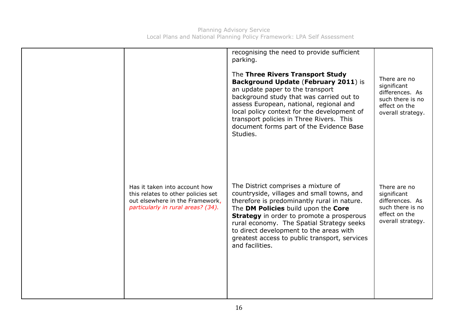|                                                                                                                                              | recognising the need to provide sufficient<br>parking.<br>The Three Rivers Transport Study<br>Background Update (February 2011) is<br>an update paper to the transport<br>background study that was carried out to<br>assess European, national, regional and<br>local policy context for the development of<br>transport policies in Three Rivers. This<br>document forms part of the Evidence Base<br>Studies. | There are no<br>significant<br>differences. As<br>such there is no<br>effect on the<br>overall strategy. |
|----------------------------------------------------------------------------------------------------------------------------------------------|------------------------------------------------------------------------------------------------------------------------------------------------------------------------------------------------------------------------------------------------------------------------------------------------------------------------------------------------------------------------------------------------------------------|----------------------------------------------------------------------------------------------------------|
| Has it taken into account how<br>this relates to other policies set<br>out elsewhere in the Framework,<br>particularly in rural areas? (34). | The District comprises a mixture of<br>countryside, villages and small towns, and<br>therefore is predominantly rural in nature.<br>The DM Policies build upon the Core<br><b>Strategy</b> in order to promote a prosperous<br>rural economy. The Spatial Strategy seeks<br>to direct development to the areas with<br>greatest access to public transport, services<br>and facilities.                          | There are no<br>significant<br>differences. As<br>such there is no<br>effect on the<br>overall strategy. |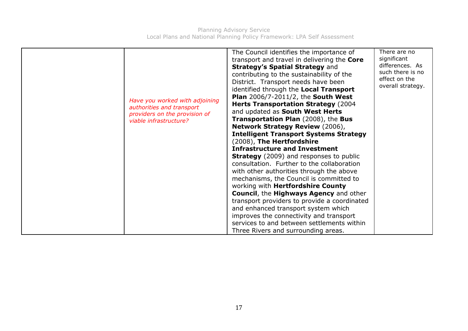| Have you worked with adjoining<br>authorities and transport<br>providers on the provision of<br>viable infrastructure? | The Council identifies the importance of<br>transport and travel in delivering the Core<br><b>Strategy's Spatial Strategy and</b><br>contributing to the sustainability of the<br>District. Transport needs have been<br>identified through the Local Transport<br><b>Plan 2006/7-2011/2, the South West</b><br><b>Herts Transportation Strategy (2004)</b><br>and updated as South West Herts<br><b>Transportation Plan (2008), the Bus</b><br><b>Network Strategy Review (2006),</b><br><b>Intelligent Transport Systems Strategy</b><br>(2008), The Hertfordshire<br><b>Infrastructure and Investment</b><br><b>Strategy</b> (2009) and responses to public<br>consultation. Further to the collaboration<br>with other authorities through the above<br>mechanisms, the Council is committed to<br>working with Hertfordshire County<br><b>Council, the Highways Agency and other</b><br>transport providers to provide a coordinated<br>and enhanced transport system which<br>improves the connectivity and transport<br>services to and between settlements within<br>Three Rivers and surrounding areas. | There are no<br>significant<br>differences. As<br>such there is no<br>effect on the<br>overall strategy. |
|------------------------------------------------------------------------------------------------------------------------|------------------------------------------------------------------------------------------------------------------------------------------------------------------------------------------------------------------------------------------------------------------------------------------------------------------------------------------------------------------------------------------------------------------------------------------------------------------------------------------------------------------------------------------------------------------------------------------------------------------------------------------------------------------------------------------------------------------------------------------------------------------------------------------------------------------------------------------------------------------------------------------------------------------------------------------------------------------------------------------------------------------------------------------------------------------------------------------------------------------|----------------------------------------------------------------------------------------------------------|
|------------------------------------------------------------------------------------------------------------------------|------------------------------------------------------------------------------------------------------------------------------------------------------------------------------------------------------------------------------------------------------------------------------------------------------------------------------------------------------------------------------------------------------------------------------------------------------------------------------------------------------------------------------------------------------------------------------------------------------------------------------------------------------------------------------------------------------------------------------------------------------------------------------------------------------------------------------------------------------------------------------------------------------------------------------------------------------------------------------------------------------------------------------------------------------------------------------------------------------------------|----------------------------------------------------------------------------------------------------------|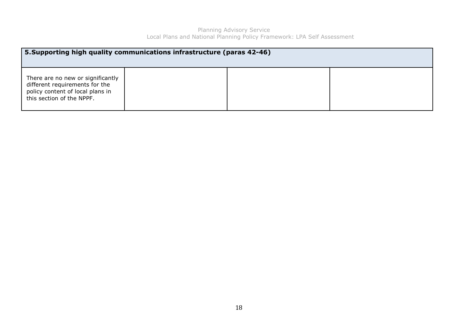| 5. Supporting high quality communications infrastructure (paras 42-46)                                                               |  |  |  |  |
|--------------------------------------------------------------------------------------------------------------------------------------|--|--|--|--|
| There are no new or significantly<br>different requirements for the<br>policy content of local plans in<br>this section of the NPPF. |  |  |  |  |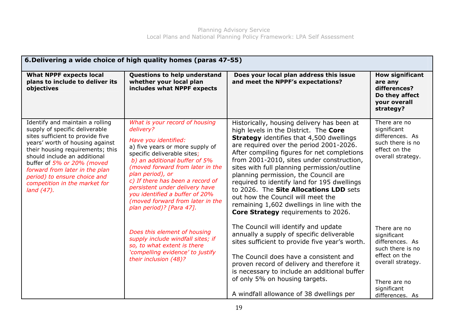| 6. Delivering a wide choice of high quality homes (paras 47-55)                                                                                                                                                                                                                                                                                             |                                                                                                                                                                                                                                                                                                                                                                                                        |                                                                                                                                                                                                                                                                                                                                                                                                                                                                                                                                                                                         |                                                                                                                                                            |  |
|-------------------------------------------------------------------------------------------------------------------------------------------------------------------------------------------------------------------------------------------------------------------------------------------------------------------------------------------------------------|--------------------------------------------------------------------------------------------------------------------------------------------------------------------------------------------------------------------------------------------------------------------------------------------------------------------------------------------------------------------------------------------------------|-----------------------------------------------------------------------------------------------------------------------------------------------------------------------------------------------------------------------------------------------------------------------------------------------------------------------------------------------------------------------------------------------------------------------------------------------------------------------------------------------------------------------------------------------------------------------------------------|------------------------------------------------------------------------------------------------------------------------------------------------------------|--|
| <b>What NPPF expects local</b><br>plans to include to deliver its<br>objectives                                                                                                                                                                                                                                                                             | Questions to help understand<br>whether your local plan<br>includes what NPPF expects                                                                                                                                                                                                                                                                                                                  | Does your local plan address this issue<br>and meet the NPPF's expectations?                                                                                                                                                                                                                                                                                                                                                                                                                                                                                                            | <b>How significant</b><br>are any<br>differences?<br>Do they affect<br>your overall<br>strategy?                                                           |  |
| Identify and maintain a rolling<br>supply of specific deliverable<br>sites sufficient to provide five<br>years' worth of housing against<br>their housing requirements; this<br>should include an additional<br>buffer of 5% or 20% (moved<br>forward from later in the plan<br>period) to ensure choice and<br>competition in the market for<br>land (47). | What is your record of housing<br>delivery?<br>Have you identified:<br>a) five years or more supply of<br>specific deliverable sites;<br>b) an additional buffer of 5%<br>(moved forward from later in the<br>plan period), or<br>c) If there has been a record of<br>persistent under delivery have<br>you identified a buffer of 20%<br>(moved forward from later in the<br>plan period)? [Para 47]. | Historically, housing delivery has been at<br>high levels in the District. The Core<br><b>Strategy</b> identifies that 4,500 dwellings<br>are required over the period 2001-2026.<br>After compiling figures for net completions<br>from 2001-2010, sites under construction,<br>sites with full planning permission/outline<br>planning permission, the Council are<br>required to identify land for 195 dwellings<br>to 2026. The Site Allocations LDD sets<br>out how the Council will meet the<br>remaining 1,602 dwellings in line with the<br>Core Strategy requirements to 2026. | There are no<br>significant<br>differences. As<br>such there is no<br>effect on the<br>overall strategy.                                                   |  |
|                                                                                                                                                                                                                                                                                                                                                             | Does this element of housing<br>supply include windfall sites; if<br>so, to what extent is there<br>'compelling evidence' to justify<br>their inclusion (48)?                                                                                                                                                                                                                                          | The Council will identify and update<br>annually a supply of specific deliverable<br>sites sufficient to provide five year's worth.<br>The Council does have a consistent and<br>proven record of delivery and therefore it<br>is necessary to include an additional buffer<br>of only 5% on housing targets.<br>A windfall allowance of 38 dwellings per                                                                                                                                                                                                                               | There are no<br>significant<br>differences. As<br>such there is no<br>effect on the<br>overall strategy.<br>There are no<br>significant<br>differences. As |  |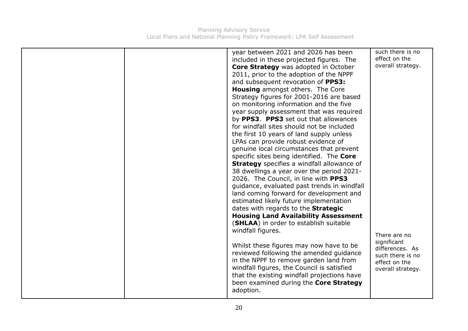|  | year between 2021 and 2026 has been<br>included in these projected figures. The<br>Core Strategy was adopted in October<br>2011, prior to the adoption of the NPPF<br>and subsequent revocation of PPS3:<br><b>Housing</b> amongst others. The Core<br>Strategy figures for 2001-2016 are based<br>on monitoring information and the five<br>year supply assessment that was required<br>by PPS3. PPS3 set out that allowances<br>for windfall sites should not be included<br>the first 10 years of land supply unless<br>LPAs can provide robust evidence of<br>genuine local circumstances that prevent<br>specific sites being identified. The Core<br><b>Strategy</b> specifies a windfall allowance of<br>38 dwellings a year over the period 2021-<br>2026. The Council, in line with PPS3<br>guidance, evaluated past trends in windfall<br>land coming forward for development and<br>estimated likely future implementation<br>dates with regards to the Strategic<br><b>Housing Land Availability Assessment</b><br>(SHLAA) in order to establish suitable<br>windfall figures.<br>Whilst these figures may now have to be<br>reviewed following the amended guidance<br>in the NPPF to remove garden land from<br>windfall figures, the Council is satisfied<br>that the existing windfall projections have<br>been examined during the Core Strategy<br>adoption. | such there is no<br>effect on the<br>overall strategy.<br>There are no<br>significant<br>differences. As<br>such there is no<br>effect on the<br>overall strategy. |
|--|--------------------------------------------------------------------------------------------------------------------------------------------------------------------------------------------------------------------------------------------------------------------------------------------------------------------------------------------------------------------------------------------------------------------------------------------------------------------------------------------------------------------------------------------------------------------------------------------------------------------------------------------------------------------------------------------------------------------------------------------------------------------------------------------------------------------------------------------------------------------------------------------------------------------------------------------------------------------------------------------------------------------------------------------------------------------------------------------------------------------------------------------------------------------------------------------------------------------------------------------------------------------------------------------------------------------------------------------------------------------------------|--------------------------------------------------------------------------------------------------------------------------------------------------------------------|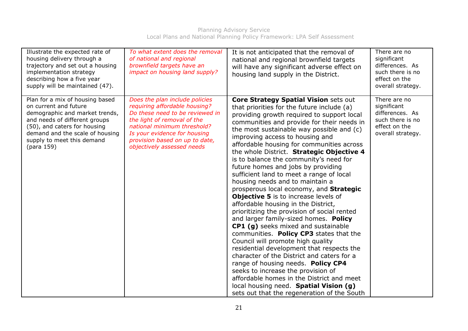| Illustrate the expected rate of<br>housing delivery through a<br>trajectory and set out a housing<br>implementation strategy<br>describing how a five year<br>supply will be maintained (47).                                              | To what extent does the removal<br>of national and regional<br>brownfield targets have an<br>impact on housing land supply?                                                                                                                                      | It is not anticipated that the removal of<br>national and regional brownfield targets<br>will have any significant adverse effect on<br>housing land supply in the District.                                                                                                                                                                                                                                                                                                                                                                                                                                                                                                                                                                                                                                                                                                                                                                                                                                                                                                                                                                                                                 | There are no<br>significant<br>differences. As<br>such there is no<br>effect on the<br>overall strategy. |
|--------------------------------------------------------------------------------------------------------------------------------------------------------------------------------------------------------------------------------------------|------------------------------------------------------------------------------------------------------------------------------------------------------------------------------------------------------------------------------------------------------------------|----------------------------------------------------------------------------------------------------------------------------------------------------------------------------------------------------------------------------------------------------------------------------------------------------------------------------------------------------------------------------------------------------------------------------------------------------------------------------------------------------------------------------------------------------------------------------------------------------------------------------------------------------------------------------------------------------------------------------------------------------------------------------------------------------------------------------------------------------------------------------------------------------------------------------------------------------------------------------------------------------------------------------------------------------------------------------------------------------------------------------------------------------------------------------------------------|----------------------------------------------------------------------------------------------------------|
| Plan for a mix of housing based<br>on current and future<br>demographic and market trends,<br>and needs of different groups<br>(50), and caters for housing<br>demand and the scale of housing<br>supply to meet this demand<br>(para 159) | Does the plan include policies<br>requiring affordable housing?<br>Do these need to be reviewed in<br>the light of removal of the<br>national minimum threshold?<br>Is your evidence for housing<br>provision based on up to date,<br>objectively assessed needs | <b>Core Strategy Spatial Vision sets out</b><br>that priorities for the future include (a)<br>providing growth required to support local<br>communities and provide for their needs in<br>the most sustainable way possible and (c)<br>improving access to housing and<br>affordable housing for communities across<br>the whole District. Strategic Objective 4<br>is to balance the community's need for<br>future homes and jobs by providing<br>sufficient land to meet a range of local<br>housing needs and to maintain a<br>prosperous local economy, and Strategic<br><b>Objective 5</b> is to increase levels of<br>affordable housing in the District,<br>prioritizing the provision of social rented<br>and larger family-sized homes. Policy<br>CP1 (g) seeks mixed and sustainable<br>communities. Policy CP3 states that the<br>Council will promote high quality<br>residential development that respects the<br>character of the District and caters for a<br>range of housing needs. Policy CP4<br>seeks to increase the provision of<br>affordable homes in the District and meet<br>local housing need. Spatial Vision (g)<br>sets out that the regeneration of the South | There are no<br>significant<br>differences. As<br>such there is no<br>effect on the<br>overall strategy. |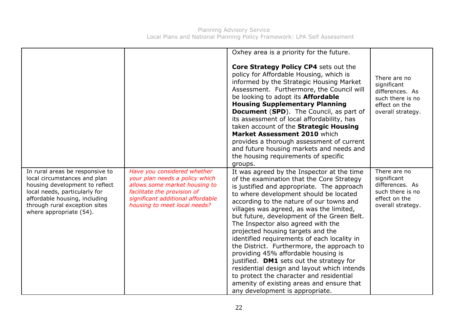|                                                                                                                                                                                                                                 |                                                                                                                                                                                                    | Oxhey area is a priority for the future.                                                                                                                                                                                                                                                                                                                                                                                                                                                                                                                                                                                                                                                                                                                    |                                                                                                          |
|---------------------------------------------------------------------------------------------------------------------------------------------------------------------------------------------------------------------------------|----------------------------------------------------------------------------------------------------------------------------------------------------------------------------------------------------|-------------------------------------------------------------------------------------------------------------------------------------------------------------------------------------------------------------------------------------------------------------------------------------------------------------------------------------------------------------------------------------------------------------------------------------------------------------------------------------------------------------------------------------------------------------------------------------------------------------------------------------------------------------------------------------------------------------------------------------------------------------|----------------------------------------------------------------------------------------------------------|
|                                                                                                                                                                                                                                 |                                                                                                                                                                                                    | Core Strategy Policy CP4 sets out the<br>policy for Affordable Housing, which is<br>informed by the Strategic Housing Market<br>Assessment. Furthermore, the Council will<br>be looking to adopt its <b>Affordable</b><br><b>Housing Supplementary Planning</b><br><b>Document (SPD).</b> The Council, as part of<br>its assessment of local affordability, has<br>taken account of the Strategic Housing<br>Market Assessment 2010 which<br>provides a thorough assessment of current<br>and future housing markets and needs and<br>the housing requirements of specific<br>groups.                                                                                                                                                                       | There are no<br>significant<br>differences. As<br>such there is no<br>effect on the<br>overall strategy. |
| In rural areas be responsive to<br>local circumstances and plan<br>housing development to reflect<br>local needs, particularly for<br>affordable housing, including<br>through rural exception sites<br>where appropriate (54). | Have you considered whether<br>your plan needs a policy which<br>allows some market housing to<br>facilitate the provision of<br>significant additional affordable<br>housing to meet local needs? | It was agreed by the Inspector at the time<br>of the examination that the Core Strategy<br>is justified and appropriate. The approach<br>to where development should be located<br>according to the nature of our towns and<br>villages was agreed, as was the limited,<br>but future, development of the Green Belt.<br>The Inspector also agreed with the<br>projected housing targets and the<br>identified requirements of each locality in<br>the District. Furthermore, the approach to<br>providing 45% affordable housing is<br>justified. DM1 sets out the strategy for<br>residential design and layout which intends<br>to protect the character and residential<br>amenity of existing areas and ensure that<br>any development is appropriate. | There are no<br>significant<br>differences. As<br>such there is no<br>effect on the<br>overall strategy. |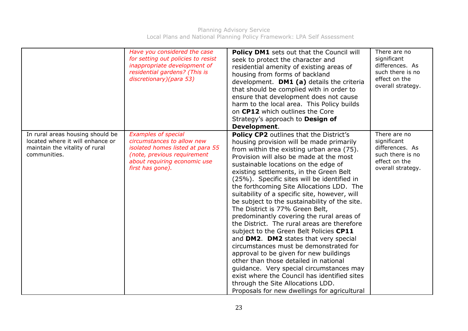|                                                                                                                        | Have you considered the case<br>for setting out policies to resist<br>inappropriate development of<br>residential gardens? (This is<br>discretionary)(para 53)                  | Policy DM1 sets out that the Council will<br>seek to protect the character and<br>residential amenity of existing areas of<br>housing from forms of backland<br>development. DM1 (a) details the criteria<br>that should be complied with in order to<br>ensure that development does not cause<br>harm to the local area. This Policy builds<br>on CP12 which outlines the Core<br>Strategy's approach to Design of<br>Development.                                                                                                                                                                                                                                                                                                                                                                                                                                                                                                                                                                 | There are no<br>significant<br>differences. As<br>such there is no<br>effect on the<br>overall strategy. |
|------------------------------------------------------------------------------------------------------------------------|---------------------------------------------------------------------------------------------------------------------------------------------------------------------------------|------------------------------------------------------------------------------------------------------------------------------------------------------------------------------------------------------------------------------------------------------------------------------------------------------------------------------------------------------------------------------------------------------------------------------------------------------------------------------------------------------------------------------------------------------------------------------------------------------------------------------------------------------------------------------------------------------------------------------------------------------------------------------------------------------------------------------------------------------------------------------------------------------------------------------------------------------------------------------------------------------|----------------------------------------------------------------------------------------------------------|
| In rural areas housing should be<br>located where it will enhance or<br>maintain the vitality of rural<br>communities. | <b>Examples of special</b><br>circumstances to allow new<br>isolated homes listed at para 55<br>(note, previous requirement<br>about requiring economic use<br>first has gone). | <b>Policy CP2</b> outlines that the District's<br>housing provision will be made primarily<br>from within the existing urban area (75).<br>Provision will also be made at the most<br>sustainable locations on the edge of<br>existing settlements, in the Green Belt<br>(25%). Specific sites will be identified in<br>the forthcoming Site Allocations LDD. The<br>suitability of a specific site, however, will<br>be subject to the sustainability of the site.<br>The District is 77% Green Belt,<br>predominantly covering the rural areas of<br>the District. The rural areas are therefore<br>subject to the Green Belt Policies CP11<br>and DM2. DM2 states that very special<br>circumstances must be demonstrated for<br>approval to be given for new buildings<br>other than those detailed in national<br>guidance. Very special circumstances may<br>exist where the Council has identified sites<br>through the Site Allocations LDD.<br>Proposals for new dwellings for agricultural | There are no<br>significant<br>differences. As<br>such there is no<br>effect on the<br>overall strategy. |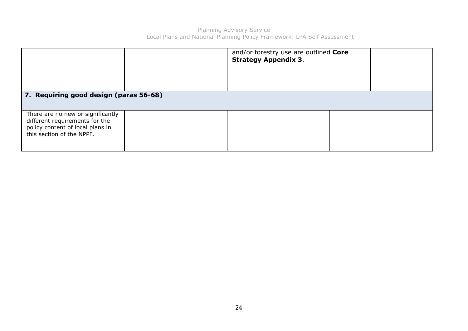|                                                                                                                                      | and/or forestry use are outlined Core<br><b>Strategy Appendix 3.</b> |  |
|--------------------------------------------------------------------------------------------------------------------------------------|----------------------------------------------------------------------|--|
| 7. Requiring good design (paras 56-68)                                                                                               |                                                                      |  |
| There are no new or significantly<br>different requirements for the<br>policy content of local plans in<br>this section of the NPPF. |                                                                      |  |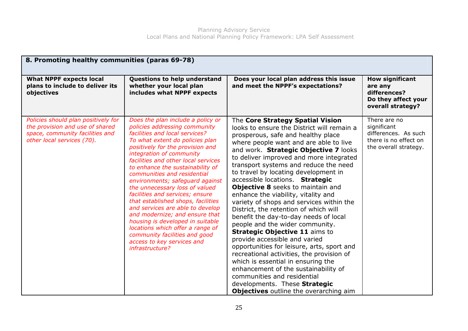| 8. Promoting healthy communities (paras 69-78)                                                                                          |                                                                                                                                                                                                                                                                                                                                                                                                                                                                                                                                                                                                                                                                                                 |                                                                                                                                                                                                                                                                                                                                                                                                                                                                                                                                                                                                                                                                                                                                                                                                                                                                                                                                                                                         |                                                                                                       |  |
|-----------------------------------------------------------------------------------------------------------------------------------------|-------------------------------------------------------------------------------------------------------------------------------------------------------------------------------------------------------------------------------------------------------------------------------------------------------------------------------------------------------------------------------------------------------------------------------------------------------------------------------------------------------------------------------------------------------------------------------------------------------------------------------------------------------------------------------------------------|-----------------------------------------------------------------------------------------------------------------------------------------------------------------------------------------------------------------------------------------------------------------------------------------------------------------------------------------------------------------------------------------------------------------------------------------------------------------------------------------------------------------------------------------------------------------------------------------------------------------------------------------------------------------------------------------------------------------------------------------------------------------------------------------------------------------------------------------------------------------------------------------------------------------------------------------------------------------------------------------|-------------------------------------------------------------------------------------------------------|--|
| <b>What NPPF expects local</b><br>plans to include to deliver its<br>objectives                                                         | Questions to help understand<br>whether your local plan<br>includes what NPPF expects                                                                                                                                                                                                                                                                                                                                                                                                                                                                                                                                                                                                           | Does your local plan address this issue<br>and meet the NPPF's expectations?                                                                                                                                                                                                                                                                                                                                                                                                                                                                                                                                                                                                                                                                                                                                                                                                                                                                                                            | <b>How significant</b><br>are any<br>differences?<br>Do they affect your<br>overall strategy?         |  |
| Policies should plan positively for<br>the provision and use of shared<br>space, community facilities and<br>other local services (70). | Does the plan include a policy or<br>policies addressing community<br>facilities and local services?<br>To what extent do policies plan<br>positively for the provision and<br>integration of community<br>facilities and other local services<br>to enhance the sustainability of<br>communities and residential<br>environments; safeguard against<br>the unnecessary loss of valued<br>facilities and services; ensure<br>that established shops, facilities<br>and services are able to develop<br>and modernize; and ensure that<br>housing is developed in suitable<br>locations which offer a range of<br>community facilities and good<br>access to key services and<br>infrastructure? | The Core Strategy Spatial Vision<br>looks to ensure the District will remain a<br>prosperous, safe and healthy place<br>where people want and are able to live<br>and work. Strategic Objective 7 looks<br>to deliver improved and more integrated<br>transport systems and reduce the need<br>to travel by locating development in<br>accessible locations. Strategic<br>Objective 8 seeks to maintain and<br>enhance the viability, vitality and<br>variety of shops and services within the<br>District, the retention of which will<br>benefit the day-to-day needs of local<br>people and the wider community.<br><b>Strategic Objective 11 aims to</b><br>provide accessible and varied<br>opportunities for leisure, arts, sport and<br>recreational activities, the provision of<br>which is essential in ensuring the<br>enhancement of the sustainability of<br>communities and residential<br>developments. These Strategic<br><b>Objectives</b> outline the overarching aim | There are no<br>significant<br>differences. As such<br>there is no effect on<br>the overall strategy. |  |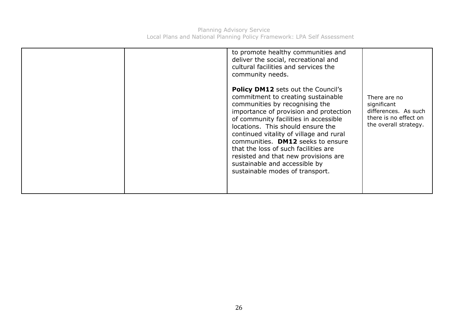|  |  | to promote healthy communities and<br>deliver the social, recreational and<br>cultural facilities and services the<br>community needs.<br><b>Policy DM12</b> sets out the Council's<br>commitment to creating sustainable<br>communities by recognising the<br>importance of provision and protection<br>of community facilities in accessible<br>locations. This should ensure the<br>continued vitality of village and rural<br>communities. DM12 seeks to ensure<br>that the loss of such facilities are<br>resisted and that new provisions are<br>sustainable and accessible by<br>sustainable modes of transport. | There are no<br>significant<br>differences. As such<br>there is no effect on<br>the overall strategy. |
|--|--|-------------------------------------------------------------------------------------------------------------------------------------------------------------------------------------------------------------------------------------------------------------------------------------------------------------------------------------------------------------------------------------------------------------------------------------------------------------------------------------------------------------------------------------------------------------------------------------------------------------------------|-------------------------------------------------------------------------------------------------------|
|--|--|-------------------------------------------------------------------------------------------------------------------------------------------------------------------------------------------------------------------------------------------------------------------------------------------------------------------------------------------------------------------------------------------------------------------------------------------------------------------------------------------------------------------------------------------------------------------------------------------------------------------------|-------------------------------------------------------------------------------------------------------|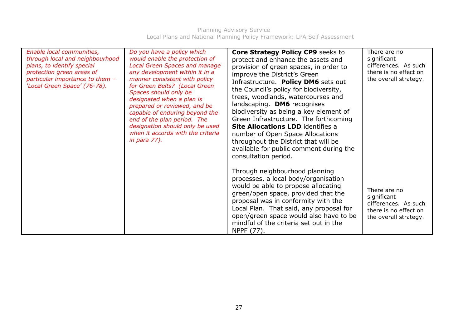| Enable local communities,<br>through local and neighbourhood<br>plans, to identify special<br>protection green areas of<br>particular importance to them -<br>'Local Green Space' (76-78). | Do you have a policy which<br>would enable the protection of<br><b>Local Green Spaces and manage</b><br>any development within it in a<br>manner consistent with policy<br>for Green Belts? (Local Green<br>Spaces should only be<br>designated when a plan is<br>prepared or reviewed, and be<br>capable of enduring beyond the<br>end of the plan period. The<br>designation should only be used<br>when it accords with the criteria<br><i>in para 77).</i> | <b>Core Strategy Policy CP9 seeks to</b><br>protect and enhance the assets and<br>provision of green spaces, in order to<br>improve the District's Green<br>Infrastructure. Policy DM6 sets out<br>the Council's policy for biodiversity,<br>trees, woodlands, watercourses and<br>landscaping. DM6 recognises<br>biodiversity as being a key element of<br>Green Infrastructure. The forthcoming<br><b>Site Allocations LDD</b> identifies a<br>number of Open Space Allocations<br>throughout the District that will be<br>available for public comment during the<br>consultation period. | There are no<br>significant<br>differences. As such<br>there is no effect on<br>the overall strategy. |
|--------------------------------------------------------------------------------------------------------------------------------------------------------------------------------------------|----------------------------------------------------------------------------------------------------------------------------------------------------------------------------------------------------------------------------------------------------------------------------------------------------------------------------------------------------------------------------------------------------------------------------------------------------------------|----------------------------------------------------------------------------------------------------------------------------------------------------------------------------------------------------------------------------------------------------------------------------------------------------------------------------------------------------------------------------------------------------------------------------------------------------------------------------------------------------------------------------------------------------------------------------------------------|-------------------------------------------------------------------------------------------------------|
|                                                                                                                                                                                            |                                                                                                                                                                                                                                                                                                                                                                                                                                                                | Through neighbourhood planning<br>processes, a local body/organisation<br>would be able to propose allocating<br>green/open space, provided that the<br>proposal was in conformity with the<br>Local Plan. That said, any proposal for<br>open/green space would also have to be<br>mindful of the criteria set out in the<br>NPPF (77).                                                                                                                                                                                                                                                     | There are no<br>significant<br>differences. As such<br>there is no effect on<br>the overall strategy. |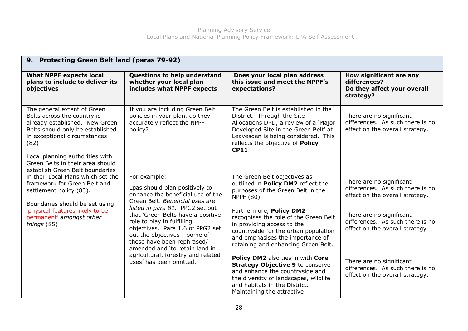| 9. Protecting Green Belt land (paras 79-92)                                                                                                                                                                                               |                                                                                                                                                                                                                                        |                                                                                                                                                                                                                                         |                                                                                                 |
|-------------------------------------------------------------------------------------------------------------------------------------------------------------------------------------------------------------------------------------------|----------------------------------------------------------------------------------------------------------------------------------------------------------------------------------------------------------------------------------------|-----------------------------------------------------------------------------------------------------------------------------------------------------------------------------------------------------------------------------------------|-------------------------------------------------------------------------------------------------|
| <b>What NPPF expects local</b><br>plans to include to deliver its<br>objectives                                                                                                                                                           | Questions to help understand<br>whether your local plan<br>includes what NPPF expects                                                                                                                                                  | Does your local plan address<br>this issue and meet the NPPF's<br>expectations?                                                                                                                                                         | How significant are any<br>differences?<br>Do they affect your overall<br>strategy?             |
| The general extent of Green<br>Belts across the country is<br>already established. New Green<br>Belts should only be established<br>in exceptional circumstances<br>(82)                                                                  | If you are including Green Belt<br>policies in your plan, do they<br>accurately reflect the NPPF<br>policy?                                                                                                                            | The Green Belt is established in the<br>District. Through the Site<br>Allocations DPD, a review of a 'Major<br>Developed Site in the Green Belt' at<br>Leavesden is being considered. This<br>reflects the objective of Policy<br>CP11. | There are no significant<br>differences. As such there is no<br>effect on the overall strategy. |
| Local planning authorities with<br>Green Belts in their area should<br>establish Green Belt boundaries<br>in their Local Plans which set the<br>framework for Green Belt and<br>settlement policy (83).<br>Boundaries should be set using | For example:<br>Lpas should plan positively to<br>enhance the beneficial use of the<br>Green Belt, Beneficial uses are                                                                                                                 | The Green Belt objectives as<br>outlined in Policy DM2 reflect the<br>purposes of the Green Belt in the<br>NPPF (80).                                                                                                                   | There are no significant<br>differences. As such there is no<br>effect on the overall strategy. |
| 'physical features likely to be<br>permanent' amongst other<br>things (85)                                                                                                                                                                | listed in para 81. PPG2 set out<br>that 'Green Belts have a positive<br>role to play in fulfilling<br>objectives. Para 1.6 of PPG2 set<br>out the objectives - some of<br>these have been rephrased/<br>amended and 'to retain land in | Furthermore, Policy DM2<br>recognises the role of the Green Belt<br>in providing access to the<br>countryside for the urban population<br>and emphasises the importance of<br>retaining and enhancing Green Belt.                       | There are no significant<br>differences. As such there is no<br>effect on the overall strategy. |
|                                                                                                                                                                                                                                           | agricultural, forestry and related<br>uses' has been omitted.                                                                                                                                                                          | Policy DM2 also ties in with Core<br><b>Strategy Objective 9 to conserve</b><br>and enhance the countryside and<br>the diversity of landscapes, wildlife<br>and habitats in the District.<br>Maintaining the attractive                 | There are no significant<br>differences. As such there is no<br>effect on the overall strategy. |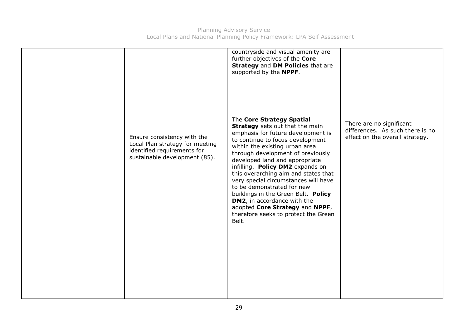|                                                                                                                                | countryside and visual amenity are<br>further objectives of the Core<br>Strategy and DM Policies that are<br>supported by the NPPF.                                                                                                                                                                                                                                                                                                                                                                                                                                        |                                                                                                 |
|--------------------------------------------------------------------------------------------------------------------------------|----------------------------------------------------------------------------------------------------------------------------------------------------------------------------------------------------------------------------------------------------------------------------------------------------------------------------------------------------------------------------------------------------------------------------------------------------------------------------------------------------------------------------------------------------------------------------|-------------------------------------------------------------------------------------------------|
| Ensure consistency with the<br>Local Plan strategy for meeting<br>identified requirements for<br>sustainable development (85). | The Core Strategy Spatial<br><b>Strategy</b> sets out that the main<br>emphasis for future development is<br>to continue to focus development<br>within the existing urban area<br>through development of previously<br>developed land and appropriate<br>infilling. Policy DM2 expands on<br>this overarching aim and states that<br>very special circumstances will have<br>to be demonstrated for new<br>buildings in the Green Belt. Policy<br><b>DM2</b> , in accordance with the<br>adopted Core Strategy and NPPF,<br>therefore seeks to protect the Green<br>Belt. | There are no significant<br>differences. As such there is no<br>effect on the overall strategy. |
|                                                                                                                                |                                                                                                                                                                                                                                                                                                                                                                                                                                                                                                                                                                            |                                                                                                 |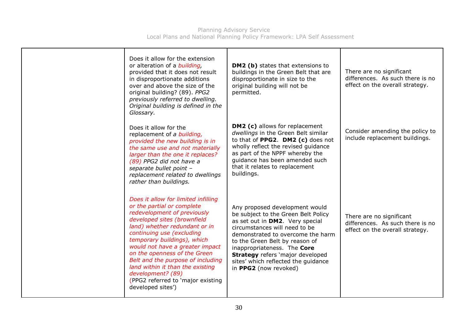| Does it allow for the extension<br>or alteration of a <i>building</i> ,<br>provided that it does not result<br>in disproportionate additions<br>over and above the size of the<br>original building? (89). PPG2<br>previously referred to dwelling.<br>Original building is defined in the<br>Glossary.                                                                                                                                                 | <b>DM2 (b)</b> states that extensions to<br>buildings in the Green Belt that are<br>disproportionate in size to the<br>original building will not be<br>permitted.                                                                                                                                                                                         | There are no significant<br>differences. As such there is no<br>effect on the overall strategy. |
|---------------------------------------------------------------------------------------------------------------------------------------------------------------------------------------------------------------------------------------------------------------------------------------------------------------------------------------------------------------------------------------------------------------------------------------------------------|------------------------------------------------------------------------------------------------------------------------------------------------------------------------------------------------------------------------------------------------------------------------------------------------------------------------------------------------------------|-------------------------------------------------------------------------------------------------|
| Does it allow for the<br>replacement of a building,<br>provided the new building is in<br>the same use and not materially<br>larger than the one it replaces?<br>(89) PPG2 did not have a<br>separate bullet point -<br>replacement related to dwellings<br>rather than buildings.                                                                                                                                                                      | <b>DM2 (c)</b> allows for replacement<br>dwellings in the Green Belt similar<br>to that of PPG2. DM2 (c) does not<br>wholly reflect the revised guidance<br>as part of the NPPF whereby the<br>guidance has been amended such<br>that it relates to replacement<br>buildings.                                                                              | Consider amending the policy to<br>include replacement buildings.                               |
| Does it allow for limited infilling<br>or the partial or complete<br>redevelopment of previously<br>developed sites (brownfield<br>land) whether redundant or in<br>continuing use (excluding<br>temporary buildings), which<br>would not have a greater impact<br>on the openness of the Green<br>Belt and the purpose of including<br>land within it than the existing<br>development? (89)<br>(PPG2 referred to 'major existing<br>developed sites') | Any proposed development would<br>be subject to the Green Belt Policy<br>as set out in DM2. Very special<br>circumstances will need to be<br>demonstrated to overcome the harm<br>to the Green Belt by reason of<br>inappropriateness. The Core<br><b>Strategy</b> refers 'major developed<br>sites' which reflected the guidance<br>in PPG2 (now revoked) | There are no significant<br>differences. As such there is no<br>effect on the overall strategy. |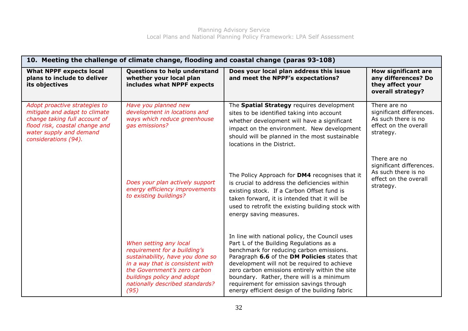| 10. Meeting the challenge of climate change, flooding and coastal change (paras 93-108)                                                                                              |                                                                                                                                                                                                                                         |                                                                                                                                                                                                                                                                                                                                                                                                                                   |                                                                                                       |
|--------------------------------------------------------------------------------------------------------------------------------------------------------------------------------------|-----------------------------------------------------------------------------------------------------------------------------------------------------------------------------------------------------------------------------------------|-----------------------------------------------------------------------------------------------------------------------------------------------------------------------------------------------------------------------------------------------------------------------------------------------------------------------------------------------------------------------------------------------------------------------------------|-------------------------------------------------------------------------------------------------------|
| <b>What NPPF expects local</b><br>plans to include to deliver<br>its objectives                                                                                                      | Questions to help understand<br>whether your local plan<br>includes what NPPF expects                                                                                                                                                   | Does your local plan address this issue<br>and meet the NPPF's expectations?                                                                                                                                                                                                                                                                                                                                                      | <b>How significant are</b><br>any differences? Do<br>they affect your<br>overall strategy?            |
| Adopt proactive strategies to<br>mitigate and adapt to climate<br>change taking full account of<br>flood risk, coastal change and<br>water supply and demand<br>considerations (94). | Have you planned new<br>development in locations and<br>ways which reduce greenhouse<br>gas emissions?                                                                                                                                  | The Spatial Strategy requires development<br>sites to be identified taking into account<br>whether development will have a significant<br>impact on the environment. New development<br>should will be planned in the most sustainable<br>locations in the District.                                                                                                                                                              | There are no<br>significant differences.<br>As such there is no<br>effect on the overall<br>strategy. |
|                                                                                                                                                                                      | Does your plan actively support<br>energy efficiency improvements<br>to existing buildings?                                                                                                                                             | The Policy Approach for DM4 recognises that it<br>is crucial to address the deficiencies within<br>existing stock. If a Carbon Offset fund is<br>taken forward, it is intended that it will be<br>used to retrofit the existing building stock with<br>energy saving measures.                                                                                                                                                    | There are no<br>significant differences.<br>As such there is no<br>effect on the overall<br>strategy. |
|                                                                                                                                                                                      | When setting any local<br>requirement for a building's<br>sustainability, have you done so<br>in a way that is consistent with<br>the Government's zero carbon<br>buildings policy and adopt<br>nationally described standards?<br>(95) | In line with national policy, the Council uses<br>Part L of the Building Regulations as a<br>benchmark for reducing carbon emissions.<br>Paragraph 6.6 of the DM Policies states that<br>development will not be required to achieve<br>zero carbon emissions entirely within the site<br>boundary. Rather, there will is a minimum<br>requirement for emission savings through<br>energy efficient design of the building fabric |                                                                                                       |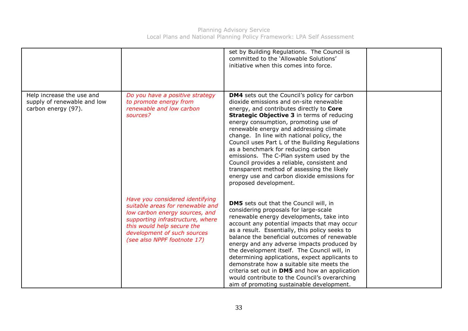Planning Advisory Service Local Plans and National Planning Policy Framework: LPA Self Assessment

|                                                                                 |                                                                                                                                                                                                                                       | set by Building Regulations. The Council is<br>committed to the 'Allowable Solutions'<br>initiative when this comes into force.                                                                                                                                                                                                                                                                                                                                                                                                                                                                                                           |  |
|---------------------------------------------------------------------------------|---------------------------------------------------------------------------------------------------------------------------------------------------------------------------------------------------------------------------------------|-------------------------------------------------------------------------------------------------------------------------------------------------------------------------------------------------------------------------------------------------------------------------------------------------------------------------------------------------------------------------------------------------------------------------------------------------------------------------------------------------------------------------------------------------------------------------------------------------------------------------------------------|--|
| Help increase the use and<br>supply of renewable and low<br>carbon energy (97). | Do you have a positive strategy<br>to promote energy from<br>renewable and low carbon<br>sources?                                                                                                                                     | <b>DM4</b> sets out the Council's policy for carbon<br>dioxide emissions and on-site renewable<br>energy, and contributes directly to Core<br><b>Strategic Objective 3</b> in terms of reducing<br>energy consumption, promoting use of<br>renewable energy and addressing climate<br>change. In line with national policy, the<br>Council uses Part L of the Building Regulations<br>as a benchmark for reducing carbon<br>emissions. The C-Plan system used by the<br>Council provides a reliable, consistent and<br>transparent method of assessing the likely<br>energy use and carbon dioxide emissions for<br>proposed development. |  |
|                                                                                 | Have you considered identifying<br>suitable areas for renewable and<br>low carbon energy sources, and<br>supporting infrastructure, where<br>this would help secure the<br>development of such sources<br>(see also NPPF footnote 17) | <b>DM5</b> sets out that the Council will, in<br>considering proposals for large-scale<br>renewable energy developments, take into<br>account any potential impacts that may occur<br>as a result. Essentially, this policy seeks to<br>balance the beneficial outcomes of renewable<br>energy and any adverse impacts produced by<br>the development itself. The Council will, in<br>determining applications, expect applicants to<br>demonstrate how a suitable site meets the<br>criteria set out in DM5 and how an application<br>would contribute to the Council's overarching<br>aim of promoting sustainable development.         |  |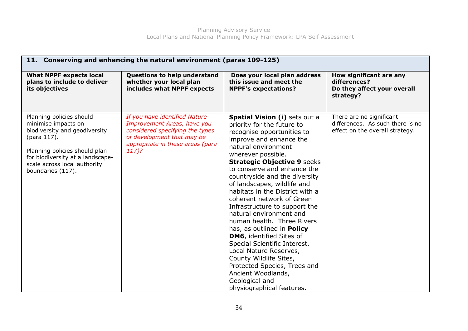| 11. Conserving and enhancing the natural environment (paras 109-125)                                                                                                                                                      |                                                                                                                                                                            |                                                                                                                                                                                                                                                                                                                                                                                                                                                                                                                                                                                                                                                                                                                     |                                                                                                 |
|---------------------------------------------------------------------------------------------------------------------------------------------------------------------------------------------------------------------------|----------------------------------------------------------------------------------------------------------------------------------------------------------------------------|---------------------------------------------------------------------------------------------------------------------------------------------------------------------------------------------------------------------------------------------------------------------------------------------------------------------------------------------------------------------------------------------------------------------------------------------------------------------------------------------------------------------------------------------------------------------------------------------------------------------------------------------------------------------------------------------------------------------|-------------------------------------------------------------------------------------------------|
| <b>What NPPF expects local</b><br>plans to include to deliver<br>its objectives                                                                                                                                           | Questions to help understand<br>whether your local plan<br>includes what NPPF expects                                                                                      | Does your local plan address<br>this issue and meet the<br><b>NPPF's expectations?</b>                                                                                                                                                                                                                                                                                                                                                                                                                                                                                                                                                                                                                              | How significant are any<br>differences?<br>Do they affect your overall<br>strategy?             |
| Planning policies should<br>minimise impacts on<br>biodiversity and geodiversity<br>(para 117).<br>Planning policies should plan<br>for biodiversity at a landscape-<br>scale across local authority<br>boundaries (117). | If you have identified Nature<br>Improvement Areas, have you<br>considered specifying the types<br>of development that may be<br>appropriate in these areas (para<br>117)? | Spatial Vision (i) sets out a<br>priority for the future to<br>recognise opportunities to<br>improve and enhance the<br>natural environment<br>wherever possible.<br><b>Strategic Objective 9 seeks</b><br>to conserve and enhance the<br>countryside and the diversity<br>of landscapes, wildlife and<br>habitats in the District with a<br>coherent network of Green<br>Infrastructure to support the<br>natural environment and<br>human health. Three Rivers<br>has, as outlined in Policy<br>DM6, identified Sites of<br>Special Scientific Interest,<br>Local Nature Reserves,<br>County Wildlife Sites,<br>Protected Species, Trees and<br>Ancient Woodlands,<br>Geological and<br>physiographical features. | There are no significant<br>differences. As such there is no<br>effect on the overall strategy. |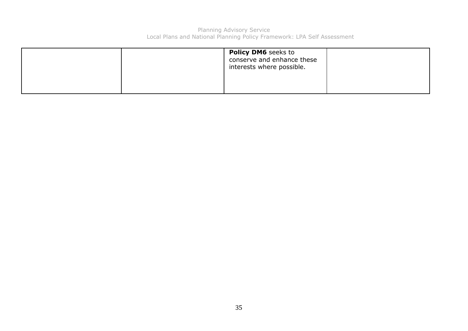|  | <b>Policy DM6</b> seeks to<br>conserve and enhance these<br>interests where possible. |  |
|--|---------------------------------------------------------------------------------------|--|
|  |                                                                                       |  |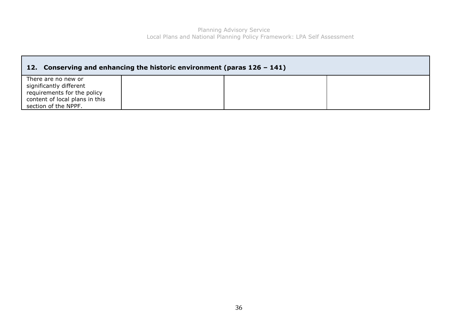| 12. Conserving and enhancing the historic environment (paras $126 - 141$ )                                                              |  |  |  |
|-----------------------------------------------------------------------------------------------------------------------------------------|--|--|--|
| There are no new or<br>significantly different<br>requirements for the policy<br>content of local plans in this<br>section of the NPPF. |  |  |  |